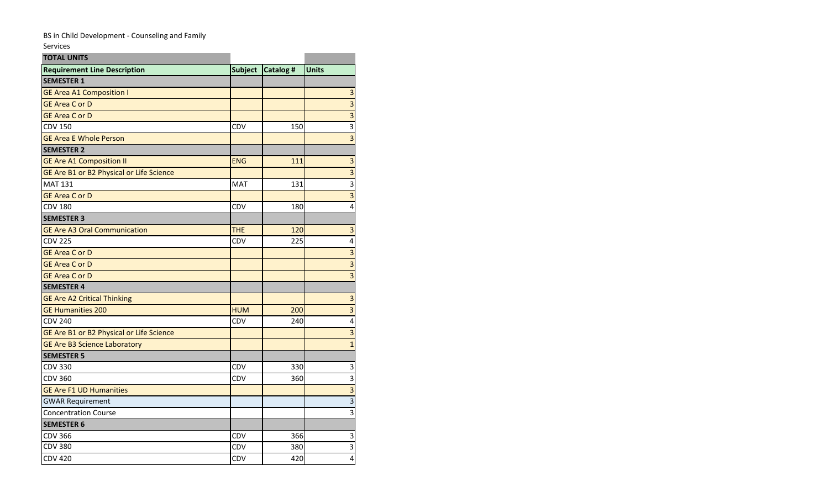## BS in Child Development - Counseling and Family

Services

| <b>TOTAL UNITS</b>                       |                |                 |                         |  |
|------------------------------------------|----------------|-----------------|-------------------------|--|
| <b>Requirement Line Description</b>      | <b>Subject</b> | <b>Catalog#</b> | <b>Units</b>            |  |
| <b>SEMESTER 1</b>                        |                |                 |                         |  |
| <b>GE Area A1 Composition I</b>          |                |                 | 3                       |  |
| <b>GE Area C or D</b>                    |                |                 | $\overline{\mathbf{3}}$ |  |
| <b>GE Area C or D</b>                    |                |                 | $\overline{\mathbf{3}}$ |  |
| <b>CDV 150</b>                           | CDV            | 150             | 3                       |  |
| <b>GE Area E Whole Person</b>            |                |                 | $\overline{\mathbf{3}}$ |  |
| <b>SEMESTER 2</b>                        |                |                 |                         |  |
| <b>GE Are A1 Composition II</b>          | <b>ENG</b>     | 111             | 3                       |  |
| GE Are B1 or B2 Physical or Life Science |                |                 | $\overline{\mathbf{3}}$ |  |
| <b>MAT 131</b>                           | <b>MAT</b>     | 131             | $\overline{\mathbf{3}}$ |  |
| <b>GE Area C or D</b>                    |                |                 | $\overline{\mathbf{3}}$ |  |
| <b>CDV 180</b>                           | <b>CDV</b>     | 180             | 4                       |  |
| <b>SEMESTER 3</b>                        |                |                 |                         |  |
| <b>GE Are A3 Oral Communication</b>      | <b>THE</b>     | 120             | 3                       |  |
| <b>CDV 225</b>                           | CDV            | 225             | $\pmb{4}$               |  |
| <b>GE Area C or D</b>                    |                |                 | $\overline{3}$          |  |
| <b>GE Area C or D</b>                    |                |                 | $\overline{3}$          |  |
| <b>GE Area C or D</b>                    |                |                 | $\overline{\mathbf{3}}$ |  |
| <b>SEMESTER 4</b>                        |                |                 |                         |  |
| <b>GE Are A2 Critical Thinking</b>       |                |                 | $\overline{3}$          |  |
| <b>GE Humanities 200</b>                 | <b>HUM</b>     | 200             | $\overline{\mathbf{3}}$ |  |
| <b>CDV 240</b>                           | CDV            | 240             | $\overline{\mathbf{4}}$ |  |
| GE Are B1 or B2 Physical or Life Science |                |                 | $\overline{\mathbf{3}}$ |  |
| <b>GE Are B3 Science Laboratory</b>      |                |                 | $\overline{1}$          |  |
| <b>SEMESTER 5</b>                        |                |                 |                         |  |
| <b>CDV 330</b>                           | CDV            | 330             | 3                       |  |
| <b>CDV 360</b>                           | CDV            | 360             | $\overline{\mathbf{3}}$ |  |
| <b>GE Are F1 UD Humanities</b>           |                |                 | μ                       |  |
| <b>GWAR Requirement</b>                  |                |                 | $\overline{\mathbf{3}}$ |  |
| <b>Concentration Course</b>              |                |                 | 3                       |  |
| <b>SEMESTER 6</b>                        |                |                 |                         |  |
| <b>CDV 366</b>                           | CDV            | 366             | 3                       |  |
| <b>CDV 380</b>                           | <b>CDV</b>     | 380             | $\mathbf{3}$            |  |
| <b>CDV 420</b>                           | CDV            | 420             | $\overline{\mathbf{4}}$ |  |